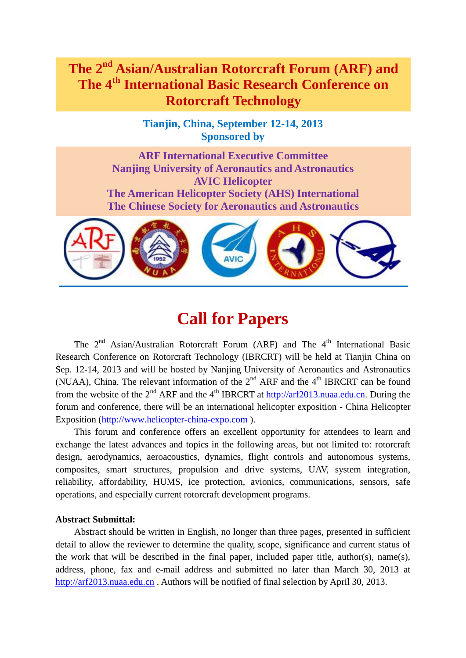## **The 2nd Asian/Australian Rotorcraft Forum (ARF) and The 4th International Basic Research Conference on Rotorcraft Technology**

**Tianjin, China, September 12-14, 2013 Sponsored by**

**ARF International Executive Committee Nanjing University of Aeronautics and Astronautics AVIC Helicopter The American Helicopter Society (AHS) International The Chinese Society for Aeronautics and Astronautics**



# **Call for Papers**

The 2<sup>nd</sup> Asian/Australian Rotorcraft Forum (ARF) and The 4<sup>th</sup> International Basic Research Conference on Rotorcraft Technology (IBRCRT) will be held at Tianjin China on Sep. 12-14, 2013 and will be hosted by Nanjing University of Aeronautics and Astronautics (NUAA), China. The relevant information of the  $2<sup>nd</sup>$  ARF and the  $4<sup>th</sup>$  IBRCRT can be found from the website of the  $2<sup>nd</sup> ARF$  and the  $4<sup>th</sup> IBRCRT$  at [http://arf2013.nuaa.edu.cn.](http://arf2013.nuaa.edu.cn/) During the forum and conference, there will be an international helicopter exposition - China Helicopter Exposition [\(http://www.helicopter-china-expo.com](http://www.helicopter-china-expo.com/) ).

This forum and conference offers an excellent opportunity for attendees to learn and exchange the latest advances and topics in the following areas, but not limited to: rotorcraft design, aerodynamics, aeroacoustics, dynamics, flight controls and autonomous systems, composites, smart structures, propulsion and drive systems, UAV, system integration, reliability, affordability, HUMS, ice protection, avionics, communications, sensors, safe operations, and especially current rotorcraft development programs.

## **Abstract Submittal:**

Abstract should be written in English, no longer than three pages, presented in sufficient detail to allow the reviewer to determine the quality, scope, significance and current status of the work that will be described in the final paper, included paper title, author(s), name(s), address, phone, fax and e-mail address and submitted no later than March 30, 2013 at [http://arf2013.nuaa.edu.cn](http://arf2013.nuaa.edu.cn/) . Authors will be notified of final selection by April 30, 2013.